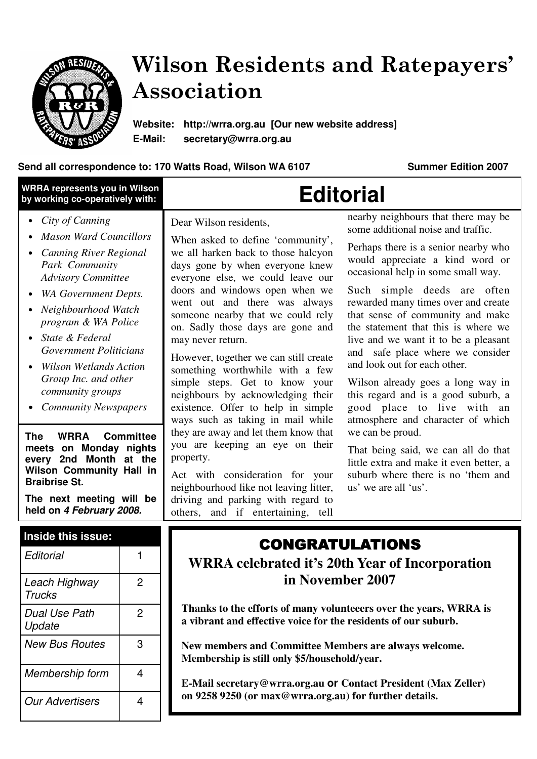

# Wilson Residents and Ratepayers' Association

**Website: http://wrra.org.au [Our new website address] E-Mail: secretary@wrra.org.au** 

#### Send all correspondence to: 170 Watts Road, Wilson WA 6107 **Summer Edition 2007**

| WRRA represents you in Wilson<br>by working co-operatively with:                                                                                                                                                                                                                                                                                                                                                                                                                                                                                                                                                   |                | <b>Editorial</b>                                                                                                                                                                                                                                                                                                                                                                                                                                                                                                                                                                                                                                                                                                                                                                                                           |                                                                                                                                                                                                                                                                                                                                                                                                                                                                                                                                                                                                                                                                                                                                                                            |
|--------------------------------------------------------------------------------------------------------------------------------------------------------------------------------------------------------------------------------------------------------------------------------------------------------------------------------------------------------------------------------------------------------------------------------------------------------------------------------------------------------------------------------------------------------------------------------------------------------------------|----------------|----------------------------------------------------------------------------------------------------------------------------------------------------------------------------------------------------------------------------------------------------------------------------------------------------------------------------------------------------------------------------------------------------------------------------------------------------------------------------------------------------------------------------------------------------------------------------------------------------------------------------------------------------------------------------------------------------------------------------------------------------------------------------------------------------------------------------|----------------------------------------------------------------------------------------------------------------------------------------------------------------------------------------------------------------------------------------------------------------------------------------------------------------------------------------------------------------------------------------------------------------------------------------------------------------------------------------------------------------------------------------------------------------------------------------------------------------------------------------------------------------------------------------------------------------------------------------------------------------------------|
| City of Canning<br><b>Mason Ward Councillors</b><br><b>Canning River Regional</b><br>Park Community<br><b>Advisory Committee</b><br><b>WA Government Depts.</b><br>Neighbourhood Watch<br>program & WA Police<br>State & Federal<br>$\bullet$<br><b>Government Politicians</b><br><b>Wilson Wetlands Action</b><br>Group Inc. and other<br>community groups<br><b>Community Newspapers</b><br><b>WRRA</b><br><b>Committee</b><br><b>The</b><br>meets on Monday nights<br>every 2nd Month at the<br><b>Wilson Community Hall in</b><br><b>Braibrise St.</b><br>The next meeting will be<br>held on 4 February 2008. |                | Dear Wilson residents,<br>When asked to define 'community',<br>we all harken back to those halcyon<br>days gone by when everyone knew<br>everyone else, we could leave our<br>doors and windows open when we<br>went out and there was always<br>someone nearby that we could rely<br>on. Sadly those days are gone and<br>may never return.<br>However, together we can still create<br>something worthwhile with a few<br>simple steps. Get to know your<br>neighbours by acknowledging their<br>existence. Offer to help in simple<br>ways such as taking in mail while<br>they are away and let them know that<br>you are keeping an eye on their<br>property.<br>Act with consideration for your<br>neighbourhood like not leaving litter,<br>driving and parking with regard to<br>others, and if entertaining, tell | nearby neighbours that there may be<br>some additional noise and traffic.<br>Perhaps there is a senior nearby who<br>would appreciate a kind word or<br>occasional help in some small way.<br>Such simple deeds are often<br>rewarded many times over and create<br>that sense of community and make<br>the statement that this is where we<br>live and we want it to be a pleasant<br>and safe place where we consider<br>and look out for each other.<br>Wilson already goes a long way in<br>this regard and is a good suburb, a<br>good place to live with an<br>atmosphere and character of which<br>we can be proud.<br>That being said, we can all do that<br>little extra and make it even better, a<br>suburb where there is no 'them and<br>us' we are all 'us'. |
| Inside this issue:<br>Editorial<br>1                                                                                                                                                                                                                                                                                                                                                                                                                                                                                                                                                                               |                | <b>CONGRATULATIONS</b>                                                                                                                                                                                                                                                                                                                                                                                                                                                                                                                                                                                                                                                                                                                                                                                                     |                                                                                                                                                                                                                                                                                                                                                                                                                                                                                                                                                                                                                                                                                                                                                                            |
| Leach Highway<br><b>Trucks</b>                                                                                                                                                                                                                                                                                                                                                                                                                                                                                                                                                                                     | $\overline{c}$ | <b>WRRA</b> celebrated it's 20th Year of Incorporation<br>in November 2007<br>Thanks to the efforts of many volunteeers over the years, WRRA is<br>a vibrant and effective voice for the residents of our suburb.                                                                                                                                                                                                                                                                                                                                                                                                                                                                                                                                                                                                          |                                                                                                                                                                                                                                                                                                                                                                                                                                                                                                                                                                                                                                                                                                                                                                            |
| Dual Use Path<br>Update                                                                                                                                                                                                                                                                                                                                                                                                                                                                                                                                                                                            | $\overline{2}$ |                                                                                                                                                                                                                                                                                                                                                                                                                                                                                                                                                                                                                                                                                                                                                                                                                            |                                                                                                                                                                                                                                                                                                                                                                                                                                                                                                                                                                                                                                                                                                                                                                            |
| <b>New Bus Routes</b>                                                                                                                                                                                                                                                                                                                                                                                                                                                                                                                                                                                              | 3              | New members and Committee Members are always welcome.<br>Membership is still only \$5/household/year.                                                                                                                                                                                                                                                                                                                                                                                                                                                                                                                                                                                                                                                                                                                      |                                                                                                                                                                                                                                                                                                                                                                                                                                                                                                                                                                                                                                                                                                                                                                            |
| Membership form                                                                                                                                                                                                                                                                                                                                                                                                                                                                                                                                                                                                    | 4              | E-Mail secretary@wrra.org.au or Contact President (Max Zeller)<br>on 9258 9250 (or max@wrra.org.au) for further details.                                                                                                                                                                                                                                                                                                                                                                                                                                                                                                                                                                                                                                                                                                   |                                                                                                                                                                                                                                                                                                                                                                                                                                                                                                                                                                                                                                                                                                                                                                            |
| <b>Our Advertisers</b>                                                                                                                                                                                                                                                                                                                                                                                                                                                                                                                                                                                             | 4              |                                                                                                                                                                                                                                                                                                                                                                                                                                                                                                                                                                                                                                                                                                                                                                                                                            |                                                                                                                                                                                                                                                                                                                                                                                                                                                                                                                                                                                                                                                                                                                                                                            |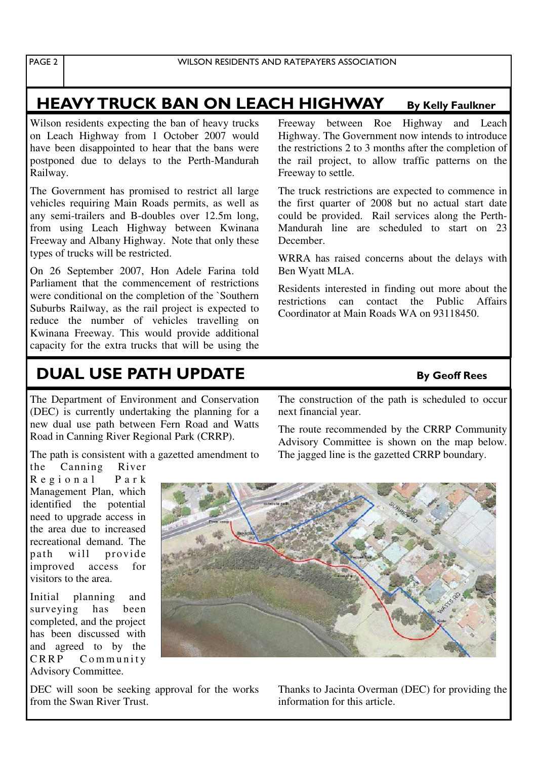### HEAVY TRUCK BAN ON LEACH HIGHWAY By Kelly Faulkner

Wilson residents expecting the ban of heavy trucks on Leach Highway from 1 October 2007 would have been disappointed to hear that the bans were postponed due to delays to the Perth-Mandurah Railway.

The Government has promised to restrict all large vehicles requiring Main Roads permits, as well as any semi-trailers and B-doubles over 12.5m long, from using Leach Highway between Kwinana Freeway and Albany Highway. Note that only these types of trucks will be restricted.

On 26 September 2007, Hon Adele Farina told Parliament that the commencement of restrictions were conditional on the completion of the `Southern Suburbs Railway, as the rail project is expected to reduce the number of vehicles travelling on Kwinana Freeway. This would provide additional capacity for the extra trucks that will be using the

Freeway between Roe Highway and Leach Highway. The Government now intends to introduce the restrictions 2 to 3 months after the completion of the rail project, to allow traffic patterns on the Freeway to settle.

The truck restrictions are expected to commence in the first quarter of 2008 but no actual start date could be provided. Rail services along the Perth-Mandurah line are scheduled to start on 23 December.

WRRA has raised concerns about the delays with Ben Wyatt MLA.

Residents interested in finding out more about the restrictions can contact the Public Affairs Coordinator at Main Roads WA on 93118450.

## **DUAL USE PATH UPDATE** By Geoff Rees

The Department of Environment and Conservation (DEC) is currently undertaking the planning for a new dual use path between Fern Road and Watts Road in Canning River Regional Park (CRRP).

The path is consistent with a gazetted amendment to the Canning River

R e g i o n a l P a r k Management Plan, which identified the potential need to upgrade access in the area due to increased recreational demand. The path will provide improved access for visitors to the area.

Initial planning and surveying has been completed, and the project has been discussed with and agreed to by the CRRP Community Advisory Committee.

DEC will soon be seeking approval for the works from the Swan River Trust.

The construction of the path is scheduled to occur next financial year.

The route recommended by the CRRP Community Advisory Committee is shown on the map below. The jagged line is the gazetted CRRP boundary.



Thanks to Jacinta Overman (DEC) for providing the information for this article.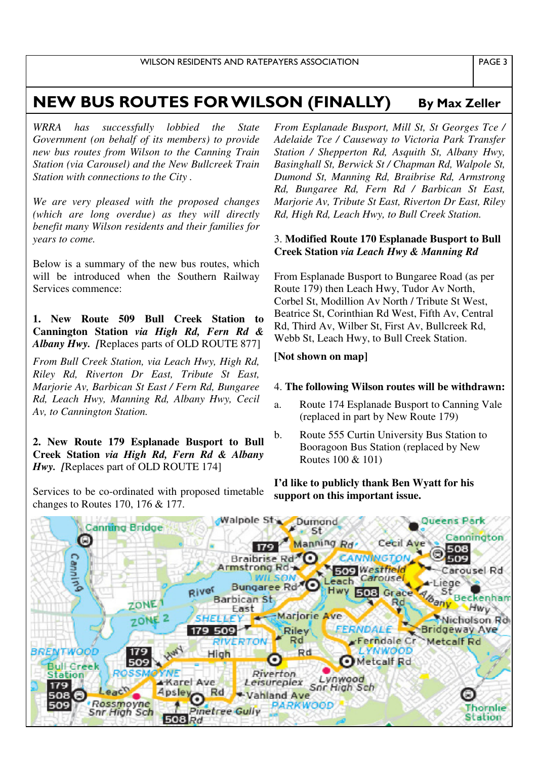### NEW BUS ROUTES FOR WILSON (FINALLY) By Max Zeller

*WRRA has successfully lobbied the State Government (on behalf of its members) to provide new bus routes from Wilson to the Canning Train Station (via Carousel) and the New Bullcreek Train Station with connections to the City .* 

*We are very pleased with the proposed changes (which are long overdue) as they will directly benefit many Wilson residents and their families for years to come.* 

Below is a summary of the new bus routes, which will be introduced when the Southern Railway Services commence:

**1. New Route 509 Bull Creek Station to Cannington Station** *via High Rd, Fern Rd & Albany Hwy. [*Replaces parts of OLD ROUTE 877]

*From Bull Creek Station, via Leach Hwy, High Rd, Riley Rd, Riverton Dr East, Tribute St East, Marjorie Av, Barbican St East / Fern Rd, Bungaree Rd, Leach Hwy, Manning Rd, Albany Hwy, Cecil Av, to Cannington Station.*

**2. New Route 179 Esplanade Busport to Bull Creek Station** *via High Rd, Fern Rd & Albany Hwy.* [Replaces part of OLD ROUTE 174]

Services to be co-ordinated with proposed timetable changes to Routes 170, 176 & 177.

*From Esplanade Busport, Mill St, St Georges Tce / Adelaide Tce / Causeway to Victoria Park Transfer Station / Shepperton Rd, Asquith St, Albany Hwy, Basinghall St, Berwick St / Chapman Rd, Walpole St, Dumond St, Manning Rd, Braibrise Rd, Armstrong Rd, Bungaree Rd, Fern Rd / Barbican St East, Marjorie Av, Tribute St East, Riverton Dr East, Riley Rd, High Rd, Leach Hwy, to Bull Creek Station.*

#### 3. **Modified Route 170 Esplanade Busport to Bull Creek Station** *via Leach Hwy & Manning Rd*

From Esplanade Busport to Bungaree Road (as per Route 179) then Leach Hwy, Tudor Av North, Corbel St, Modillion Av North / Tribute St West, Beatrice St, Corinthian Rd West, Fifth Av, Central Rd, Third Av, Wilber St, First Av, Bullcreek Rd, Webb St, Leach Hwy, to Bull Creek Station.

#### **[Not shown on map]**

#### 4. **The following Wilson routes will be withdrawn:**

- a. Route 174 Esplanade Busport to Canning Vale (replaced in part by New Route 179)
- b. Route 555 Curtin University Bus Station to Booragoon Bus Station (replaced by New Routes 100 & 101)

#### **I'd like to publicly thank Ben Wyatt for his support on this important issue.**